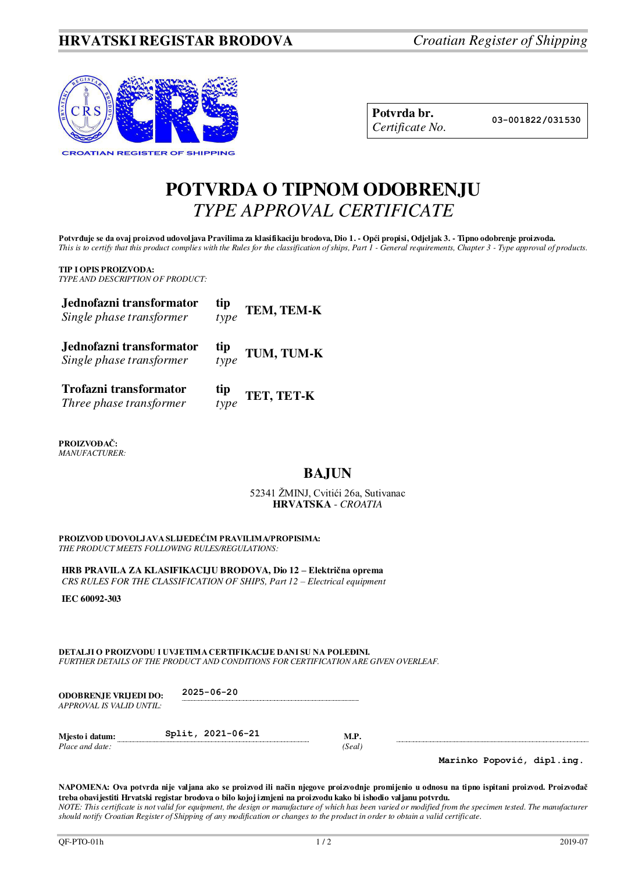# **HRVATSKI REGISTAR BRODOVA** *Croatian Register of Shipping*



| Potvrda br.     |
|-----------------|
| Certificate No. |

**Potvrda br. 03-001822/031530**

# **POTVRDA O TIPNOM ODOBRENJU**  *TYPE APPROVAL CERTIFICATE*

Potvrđuje se da ovaj proizvod udovoljava Pravilima za klasifikaciju brodova, Dio 1. - Opći propisi, Odjeljak 3. - Tipno odobrenje proizvoda. *This is to certify that this product complies with the Rules for the classification of ships, Part 1 - General requirements, Chapter 3 - Type approval of products.* 

**TIP I OPIS PROIZVODA:** *TYPE AND DESCRIPTION OF PRODUCT:* 

| Jednofazni transformator<br>Single phase transformer | $\displaystyle \inf_{type}$ | TEM, TEM-K |
|------------------------------------------------------|-----------------------------|------------|
| Jednofazni transformator<br>Single phase transformer | $\displaystyle \inf_{type}$ | TUM, TUM-K |
| Trofazni transformator<br>Three phase transformer    | tip<br>type                 | TET, TET-K |

**PROIZVOĐAČ:** *MANUFACTURER:*

# **BAJUN**

## 52341 ŽMINJ, Cvitići 26a, Sutivanac **HRVATSKA** - *CROATIA*

**PROIZVOD UDOVOLJAVA SLIJEDEĆIM PRAVILIMA/PROPISIMA:** *THE PRODUCT MEETS FOLLOWING RULES/REGULATIONS:* 

**HRB PRAVILA ZA KLASIFIKACIJU BRODOVA, Dio 12 – Električna oprema** *CRS RULES FOR THE CLASSIFICATION OF SHIPS, Part 12 – Electrical equipment* 

**IEC 60092-303**

**DETALJI O PROIZVODU I UVJETIMA CERTIFIKACIJE DANI SU NA POLEĐINI.** *FURTHER DETAILS OF THE PRODUCT AND CONDITIONS FOR CERTIFICATION ARE GIVEN OVERLEAF.* 

| <b>ODOBRENJE VRLJEDI DO:</b> | $2025 - 06 - 20$  |        |  |  |  |
|------------------------------|-------------------|--------|--|--|--|
| APPROVAL IS VALID UNTIL:     |                   |        |  |  |  |
| Mjesto i datum:              | Split, 2021-06-21 | M.P.   |  |  |  |
| Place and date:              |                   | (Seal) |  |  |  |

**Marinko Popović, dipl.ing.**

**NAPOMENA: Ova potvrda nije valjana ako se proizvod ili način njegove proizvodnje promijenio u odnosu na tipno ispitani proizvod. Proizvođač treba obavijestiti Hrvatski registar brodova o bilo kojoj izmjeni na proizvodu kako bi ishodio valjanu potvrdu.**  *NOTE: This certificate is not valid for equipment, the design or manufacture of which has been varied or modified from the specimen tested. The manufacturer should notify Croatian Register of Shipping of any modification or changes to the product in order to obtain a valid certificate.*